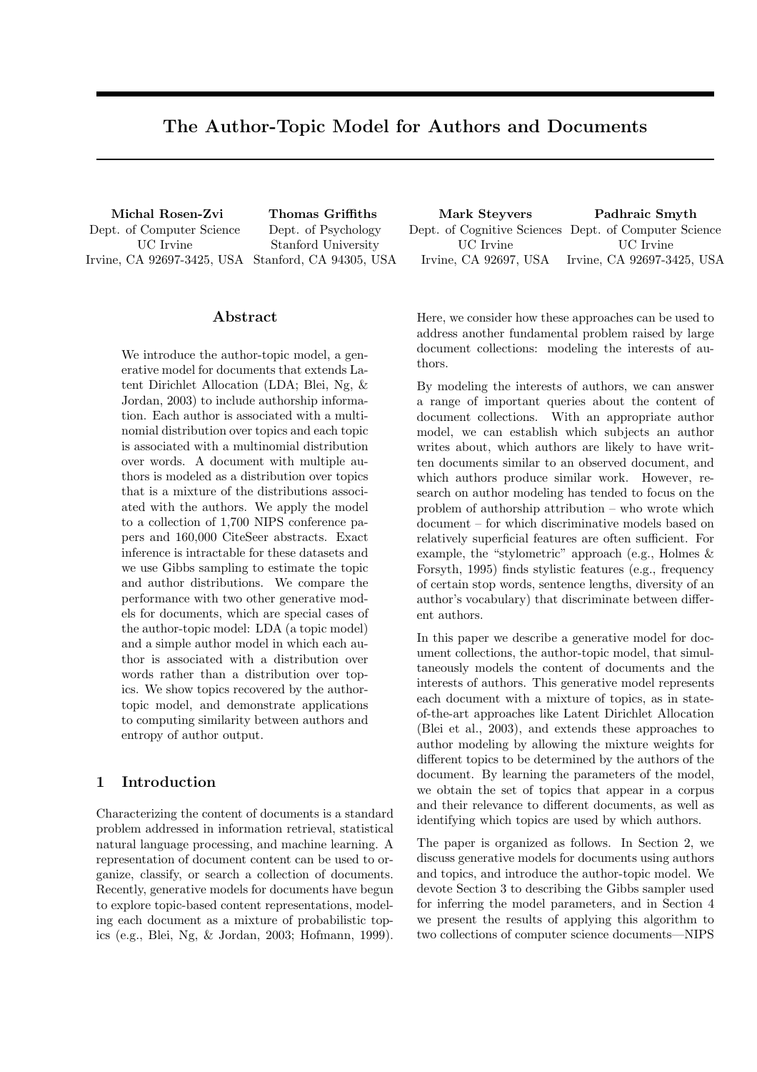# The Author-Topic Model for Authors and Documents

Michal Rosen-Zvi Dept. of Computer Science UC Irvine Irvine, CA 92697-3425, USA Stanford, CA 94305, USA

Thomas Griffiths Dept. of Psychology Stanford University

Mark Steyvers Dept. of Cognitive Sciences Dept. of Computer Science UC Irvine Irvine, CA 92697, USA Padhraic Smyth UC Irvine Irvine, CA 92697-3425, USA

# Abstract

We introduce the author-topic model, a generative model for documents that extends Latent Dirichlet Allocation (LDA; Blei, Ng, & Jordan, 2003) to include authorship information. Each author is associated with a multinomial distribution over topics and each topic is associated with a multinomial distribution over words. A document with multiple authors is modeled as a distribution over topics that is a mixture of the distributions associated with the authors. We apply the model to a collection of 1,700 NIPS conference papers and 160,000 CiteSeer abstracts. Exact inference is intractable for these datasets and we use Gibbs sampling to estimate the topic and author distributions. We compare the performance with two other generative models for documents, which are special cases of the author-topic model: LDA (a topic model) and a simple author model in which each author is associated with a distribution over words rather than a distribution over topics. We show topics recovered by the authortopic model, and demonstrate applications to computing similarity between authors and entropy of author output.

# 1 Introduction

Characterizing the content of documents is a standard problem addressed in information retrieval, statistical natural language processing, and machine learning. A representation of document content can be used to organize, classify, or search a collection of documents. Recently, generative models for documents have begun to explore topic-based content representations, modeling each document as a mixture of probabilistic topics (e.g., Blei, Ng, & Jordan, 2003; Hofmann, 1999).

Here, we consider how these approaches can be used to address another fundamental problem raised by large document collections: modeling the interests of authors.

By modeling the interests of authors, we can answer a range of important queries about the content of document collections. With an appropriate author model, we can establish which subjects an author writes about, which authors are likely to have written documents similar to an observed document, and which authors produce similar work. However, research on author modeling has tended to focus on the problem of authorship attribution – who wrote which document – for which discriminative models based on relatively superficial features are often sufficient. For example, the "stylometric" approach (e.g., Holmes & Forsyth, 1995) finds stylistic features (e.g., frequency of certain stop words, sentence lengths, diversity of an author's vocabulary) that discriminate between different authors.

In this paper we describe a generative model for document collections, the author-topic model, that simultaneously models the content of documents and the interests of authors. This generative model represents each document with a mixture of topics, as in stateof-the-art approaches like Latent Dirichlet Allocation (Blei et al., 2003), and extends these approaches to author modeling by allowing the mixture weights for different topics to be determined by the authors of the document. By learning the parameters of the model, we obtain the set of topics that appear in a corpus and their relevance to different documents, as well as identifying which topics are used by which authors.

The paper is organized as follows. In Section 2, we discuss generative models for documents using authors and topics, and introduce the author-topic model. We devote Section 3 to describing the Gibbs sampler used for inferring the model parameters, and in Section 4 we present the results of applying this algorithm to two collections of computer science documents—NIPS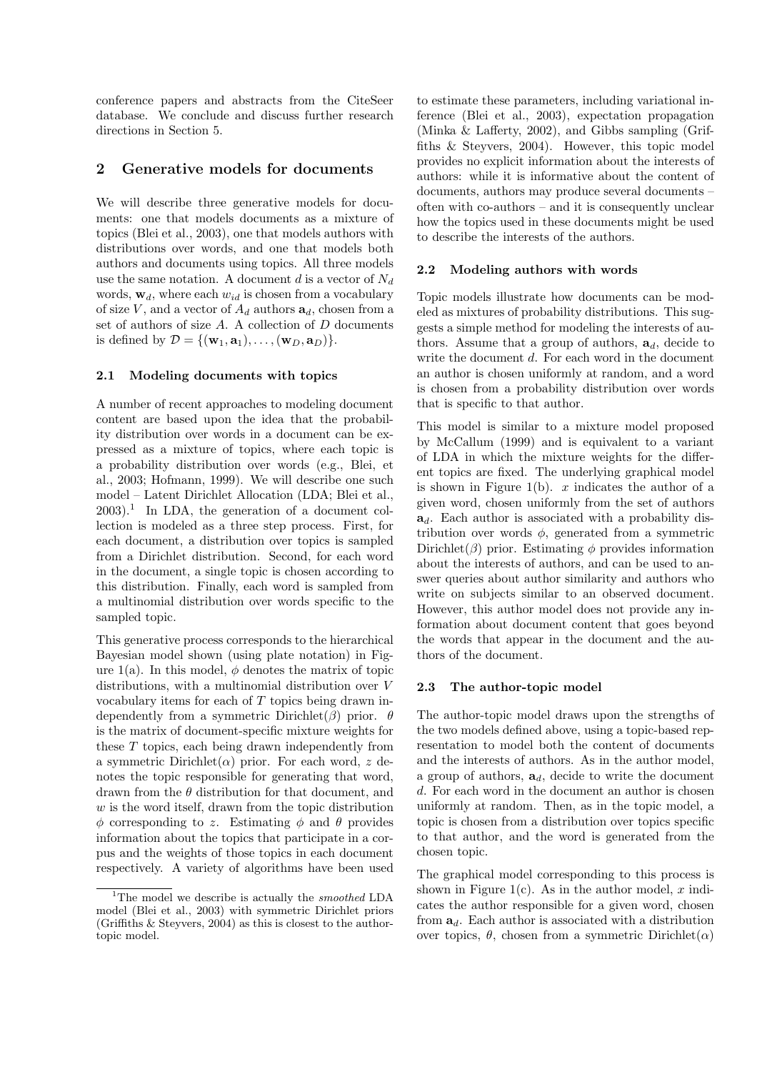conference papers and abstracts from the CiteSeer database. We conclude and discuss further research directions in Section 5.

# 2 Generative models for documents

We will describe three generative models for documents: one that models documents as a mixture of topics (Blei et al., 2003), one that models authors with distributions over words, and one that models both authors and documents using topics. All three models use the same notation. A document d is a vector of  $N_d$ words,  $\mathbf{w}_d$ , where each  $w_{id}$  is chosen from a vocabulary of size V, and a vector of  $A_d$  authors  $\mathbf{a}_d$ , chosen from a set of authors of size A. A collection of D documents is defined by  $\mathcal{D} = \{(\mathbf{w}_1, \mathbf{a}_1), \ldots, (\mathbf{w}_D, \mathbf{a}_D)\}.$ 

# 2.1 Modeling documents with topics

A number of recent approaches to modeling document content are based upon the idea that the probability distribution over words in a document can be expressed as a mixture of topics, where each topic is a probability distribution over words (e.g., Blei, et al., 2003; Hofmann, 1999). We will describe one such model – Latent Dirichlet Allocation (LDA; Blei et al.,  $2003$ ).<sup>1</sup> In LDA, the generation of a document collection is modeled as a three step process. First, for each document, a distribution over topics is sampled from a Dirichlet distribution. Second, for each word in the document, a single topic is chosen according to this distribution. Finally, each word is sampled from a multinomial distribution over words specific to the sampled topic.

This generative process corresponds to the hierarchical Bayesian model shown (using plate notation) in Figure 1(a). In this model,  $\phi$  denotes the matrix of topic distributions, with a multinomial distribution over V vocabulary items for each of  $T$  topics being drawn independently from a symmetric Dirichlet( $\beta$ ) prior.  $\theta$ is the matrix of document-specific mixture weights for these T topics, each being drawn independently from a symmetric Dirichlet( $\alpha$ ) prior. For each word, z denotes the topic responsible for generating that word, drawn from the  $\theta$  distribution for that document, and  $w$  is the word itself, drawn from the topic distribution  $\phi$  corresponding to z. Estimating  $\phi$  and  $\theta$  provides information about the topics that participate in a corpus and the weights of those topics in each document respectively. A variety of algorithms have been used to estimate these parameters, including variational inference (Blei et al., 2003), expectation propagation (Minka & Lafferty, 2002), and Gibbs sampling (Griffiths & Steyvers, 2004). However, this topic model provides no explicit information about the interests of authors: while it is informative about the content of documents, authors may produce several documents – often with co-authors – and it is consequently unclear how the topics used in these documents might be used to describe the interests of the authors.

### 2.2 Modeling authors with words

Topic models illustrate how documents can be modeled as mixtures of probability distributions. This suggests a simple method for modeling the interests of authors. Assume that a group of authors,  $a_d$ , decide to write the document d. For each word in the document an author is chosen uniformly at random, and a word is chosen from a probability distribution over words that is specific to that author.

This model is similar to a mixture model proposed by McCallum (1999) and is equivalent to a variant of LDA in which the mixture weights for the different topics are fixed. The underlying graphical model is shown in Figure 1(b).  $x$  indicates the author of a given word, chosen uniformly from the set of authors  $a_d$ . Each author is associated with a probability distribution over words  $\phi$ , generated from a symmetric Dirichlet( $\beta$ ) prior. Estimating  $\phi$  provides information about the interests of authors, and can be used to answer queries about author similarity and authors who write on subjects similar to an observed document. However, this author model does not provide any information about document content that goes beyond the words that appear in the document and the authors of the document.

#### 2.3 The author-topic model

The author-topic model draws upon the strengths of the two models defined above, using a topic-based representation to model both the content of documents and the interests of authors. As in the author model, a group of authors,  $a_d$ , decide to write the document d. For each word in the document an author is chosen uniformly at random. Then, as in the topic model, a topic is chosen from a distribution over topics specific to that author, and the word is generated from the chosen topic.

The graphical model corresponding to this process is shown in Figure 1(c). As in the author model, x indicates the author responsible for a given word, chosen from  $a_d$ . Each author is associated with a distribution over topics,  $θ$ , chosen from a symmetric Dirichlet(α)

<sup>&</sup>lt;sup>1</sup>The model we describe is actually the *smoothed* LDA model (Blei et al., 2003) with symmetric Dirichlet priors (Griffiths & Steyvers, 2004) as this is closest to the authortopic model.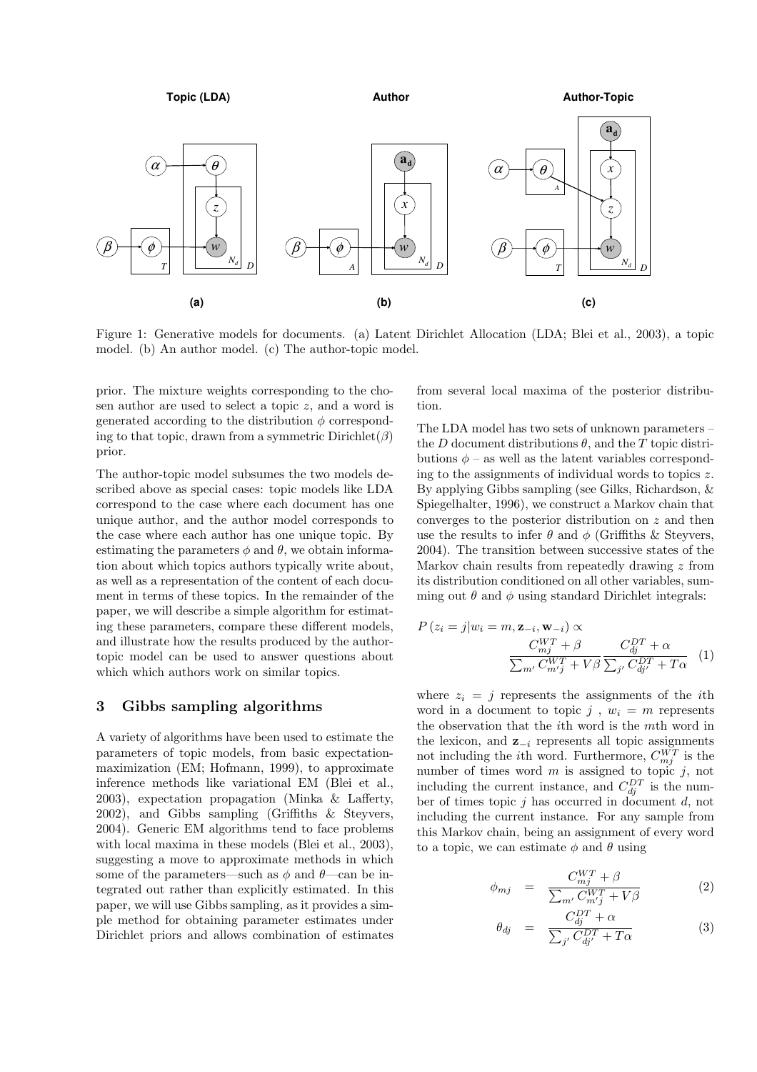

Figure 1: Generative models for documents. (a) Latent Dirichlet Allocation (LDA; Blei et al., 2003), a topic model. (b) An author model. (c) The author-topic model.

prior. The mixture weights corresponding to the chosen author are used to select a topic z, and a word is generated according to the distribution  $\phi$  corresponding to that topic, drawn from a symmetric  $Dirichlet(\beta)$ prior.

The author-topic model subsumes the two models described above as special cases: topic models like LDA correspond to the case where each document has one unique author, and the author model corresponds to the case where each author has one unique topic. By estimating the parameters  $\phi$  and  $\theta$ , we obtain information about which topics authors typically write about, as well as a representation of the content of each document in terms of these topics. In the remainder of the paper, we will describe a simple algorithm for estimating these parameters, compare these different models, and illustrate how the results produced by the authortopic model can be used to answer questions about which which authors work on similar topics.

#### 3 Gibbs sampling algorithms

A variety of algorithms have been used to estimate the parameters of topic models, from basic expectationmaximization (EM; Hofmann, 1999), to approximate inference methods like variational EM (Blei et al., 2003), expectation propagation (Minka & Lafferty, 2002), and Gibbs sampling (Griffiths & Steyvers, 2004). Generic EM algorithms tend to face problems with local maxima in these models (Blei et al., 2003), suggesting a move to approximate methods in which some of the parameters—such as  $\phi$  and  $\theta$ —can be integrated out rather than explicitly estimated. In this paper, we will use Gibbs sampling, as it provides a simple method for obtaining parameter estimates under Dirichlet priors and allows combination of estimates from several local maxima of the posterior distribution.

The LDA model has two sets of unknown parameters – the D document distributions  $\theta$ , and the T topic distributions  $\phi$  – as well as the latent variables corresponding to the assignments of individual words to topics z. By applying Gibbs sampling (see Gilks, Richardson, & Spiegelhalter, 1996), we construct a Markov chain that converges to the posterior distribution on  $z$  and then use the results to infer  $\theta$  and  $\phi$  (Griffiths & Steyvers, 2004). The transition between successive states of the Markov chain results from repeatedly drawing z from its distribution conditioned on all other variables, summing out  $\theta$  and  $\phi$  using standard Dirichlet integrals:

$$
P(z_i = j | w_i = m, \mathbf{z}_{-i}, \mathbf{w}_{-i}) \propto
$$

$$
\frac{C_{mj}^{WT} + \beta}{\sum_{m'} C_{m'j}^{WT} + V\beta} \frac{C_{dj}^{DT} + \alpha}{\sum_{j'} C_{dj'}^{DT} + T\alpha} \quad (1)
$$

where  $z_i = j$  represents the assignments of the *i*th word in a document to topic j,  $w_i = m$  represents the observation that the ith word is the mth word in the lexicon, and  $z_{-i}$  represents all topic assignments not including the *i*<sup>th</sup> word. Furthermore,  $C_{mj}^{WT}$  is the number of times word  $m$  is assigned to topic  $j$ , not including the current instance, and  $C_{dj}^{DT}$  is the number of times topic  $j$  has occurred in document  $d$ , not including the current instance. For any sample from this Markov chain, being an assignment of every word to a topic, we can estimate  $\phi$  and  $\theta$  using

$$
\phi_{mj} = \frac{C_{mj}^{WT} + \beta}{\sum_{m'} C_{m'j}^{WT} + V\beta} \tag{2}
$$

$$
\theta_{dj} = \frac{C_{dj}^{DT} + \alpha}{\sum_{j'} C_{dj'}^{DT} + T\alpha}
$$
\n(3)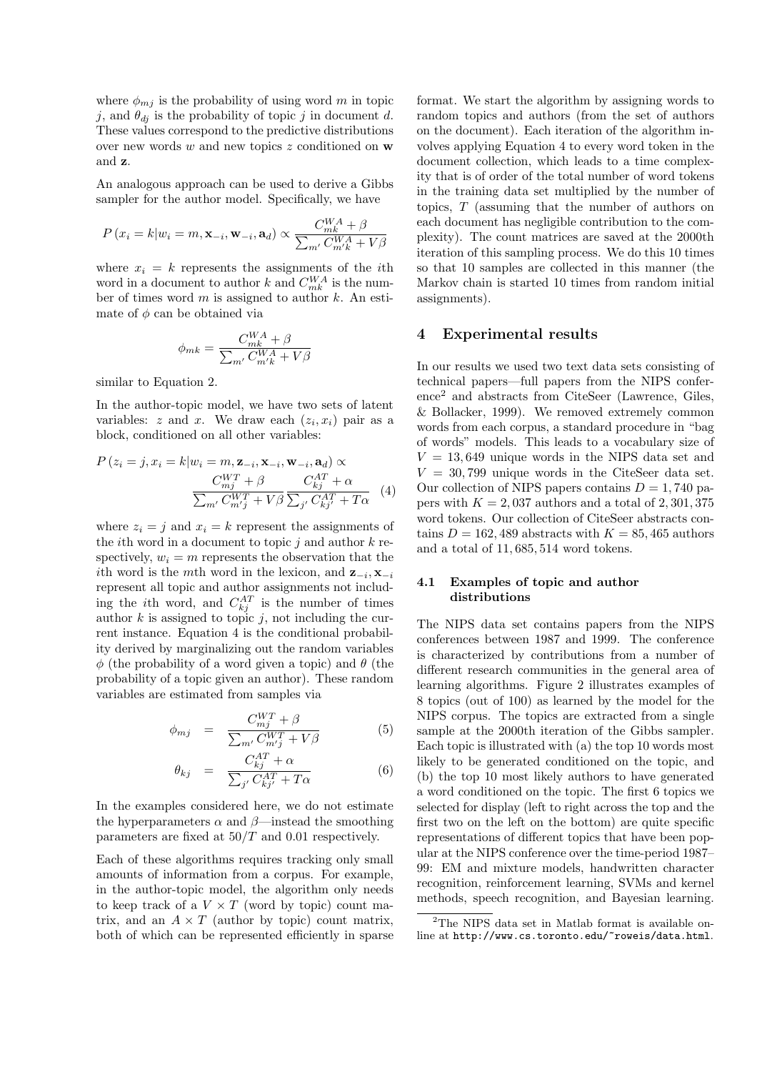where  $\phi_{mj}$  is the probability of using word m in topic j, and  $\theta_{di}$  is the probability of topic j in document d. These values correspond to the predictive distributions over new words  $w$  and new topics  $z$  conditioned on  $w$ and z.

An analogous approach can be used to derive a Gibbs sampler for the author model. Specifically, we have

$$
P(x_i = k | w_i = m, \mathbf{x}_{-i}, \mathbf{w}_{-i}, \mathbf{a}_d) \propto \frac{C_{mk}^{WA} + \beta}{\sum_{m'} C_{mk}^{WA} + V\beta}
$$

where  $x_i = k$  represents the assignments of the *i*th word in a document to author k and  $C_{mk}^{WA}$  is the number of times word  $m$  is assigned to author  $k$ . An estimate of  $\phi$  can be obtained via

$$
\phi_{mk} = \frac{C_{mk}^{WA} + \beta}{\sum_{m'} C_{m'k}^{WA} + V\beta}
$$

similar to Equation 2.

In the author-topic model, we have two sets of latent variables:  $z$  and  $x$ . We draw each  $(z_i, x_i)$  pair as a block, conditioned on all other variables:

$$
P(z_i = j, x_i = k | w_i = m, \mathbf{z}_{-i}, \mathbf{x}_{-i}, \mathbf{w}_{-i}, \mathbf{a}_d) \propto
$$

$$
\frac{C_{mj}^{WT} + \beta}{\sum_{m'} C_{m'j}^{WT} + V\beta} \frac{C_{kj}^{AT} + \alpha}{\sum_{j'} C_{kj'}^{AT} + T\alpha} \tag{4}
$$

where  $z_i = j$  and  $x_i = k$  represent the assignments of the *i*th word in a document to topic  $j$  and author  $k$  respectively,  $w_i = m$  represents the observation that the ith word is the mth word in the lexicon, and  $z_{-i}$ ,  $x_{-i}$ represent all topic and author assignments not including the *i*th word, and  $C_{kj}^{AT}$  is the number of times author  $k$  is assigned to topic  $j$ , not including the current instance. Equation 4 is the conditional probability derived by marginalizing out the random variables  $\phi$  (the probability of a word given a topic) and  $\theta$  (the probability of a topic given an author). These random variables are estimated from samples via

$$
\phi_{mj} = \frac{C_{mj}^{WT} + \beta}{\sum_{m'} C_{mj}^{WT} + V\beta} \tag{5}
$$

$$
\theta_{kj} = \frac{C_{kj}^{AT} + \alpha}{\sum_{j'} C_{kj'}^{AT} + T\alpha}
$$
\n(6)

In the examples considered here, we do not estimate the hyperparameters  $\alpha$  and  $\beta$ —instead the smoothing parameters are fixed at  $50/T$  and 0.01 respectively.

Each of these algorithms requires tracking only small amounts of information from a corpus. For example, in the author-topic model, the algorithm only needs to keep track of a  $V \times T$  (word by topic) count matrix, and an  $A \times T$  (author by topic) count matrix, both of which can be represented efficiently in sparse format. We start the algorithm by assigning words to random topics and authors (from the set of authors on the document). Each iteration of the algorithm involves applying Equation 4 to every word token in the document collection, which leads to a time complexity that is of order of the total number of word tokens in the training data set multiplied by the number of topics, T (assuming that the number of authors on each document has negligible contribution to the complexity). The count matrices are saved at the 2000th iteration of this sampling process. We do this 10 times so that 10 samples are collected in this manner (the Markov chain is started 10 times from random initial assignments).

#### 4 Experimental results

In our results we used two text data sets consisting of technical papers—full papers from the NIPS conference<sup>2</sup> and abstracts from CiteSeer (Lawrence, Giles, & Bollacker, 1999). We removed extremely common words from each corpus, a standard procedure in "bag of words" models. This leads to a vocabulary size of  $V = 13,649$  unique words in the NIPS data set and  $V = 30,799$  unique words in the CiteSeer data set. Our collection of NIPS papers contains  $D = 1,740$  papers with  $K = 2,037$  authors and a total of 2,301,375 word tokens. Our collection of CiteSeer abstracts contains  $D = 162,489$  abstracts with  $K = 85,465$  authors and a total of 11, 685, 514 word tokens.

# 4.1 Examples of topic and author distributions

The NIPS data set contains papers from the NIPS conferences between 1987 and 1999. The conference is characterized by contributions from a number of different research communities in the general area of learning algorithms. Figure 2 illustrates examples of 8 topics (out of 100) as learned by the model for the NIPS corpus. The topics are extracted from a single sample at the 2000th iteration of the Gibbs sampler. Each topic is illustrated with (a) the top 10 words most likely to be generated conditioned on the topic, and (b) the top 10 most likely authors to have generated a word conditioned on the topic. The first 6 topics we selected for display (left to right across the top and the first two on the left on the bottom) are quite specific representations of different topics that have been popular at the NIPS conference over the time-period 1987– 99: EM and mixture models, handwritten character recognition, reinforcement learning, SVMs and kernel methods, speech recognition, and Bayesian learning.

<sup>&</sup>lt;sup>2</sup>The NIPS data set in Matlab format is available online at http://www.cs.toronto.edu/~roweis/data.html.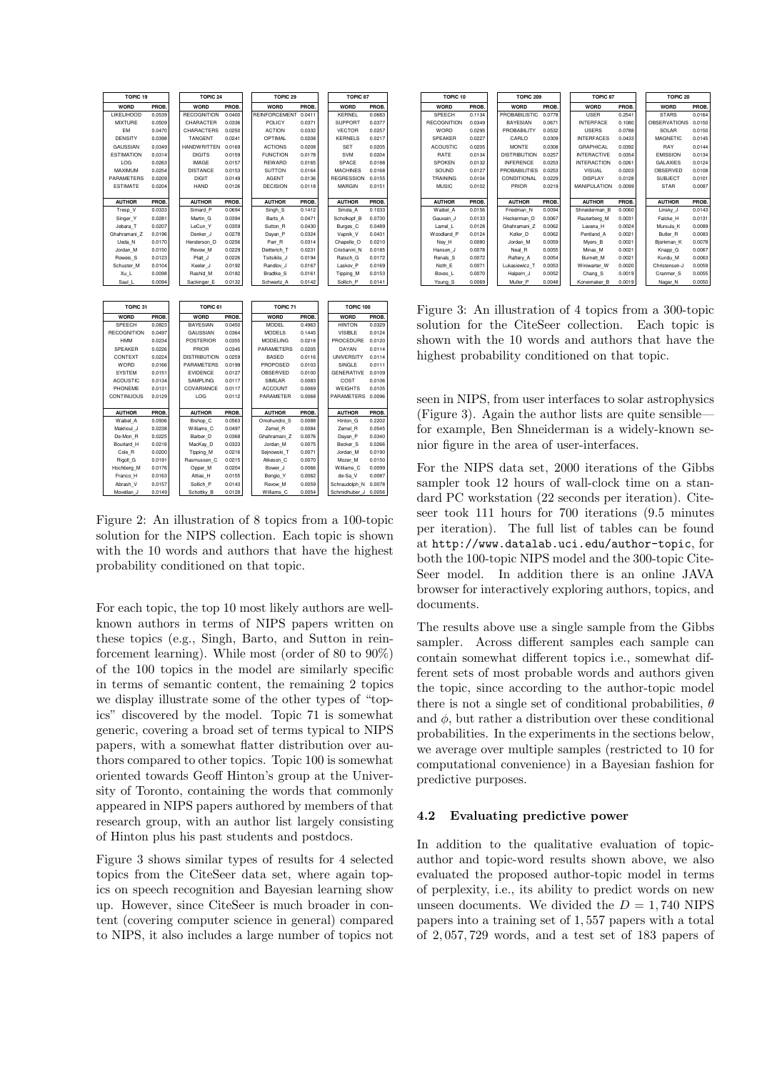| TOPIC <sub>19</sub>    |                  | TOPIC <sub>24</sub>     |                  |  | TOPIC <sub>29</sub> |                  |  | TOPIC <sub>87</sub>            |                  |  |
|------------------------|------------------|-------------------------|------------------|--|---------------------|------------------|--|--------------------------------|------------------|--|
| <b>WORD</b>            | PROB.            | WORD                    | PROB.            |  | <b>WORD</b>         | PROB.            |  | WORD                           | PROB.            |  |
| LIKELIHOOD             | 0.0539           | <b>RECOGNITION</b>      | 0.0400           |  | REINFORCEMENT       | 0.0411           |  | <b>KERNEL</b>                  | 0.0683           |  |
| <b>MIXTURE</b>         | 0.0509           | CHARACTER               | 0.0336           |  | POLICY              | 0.0371           |  | <b>SUPPORT</b>                 | 0.0377           |  |
| EM                     | 0.0470           | CHARACTERS              | 0.0250           |  | <b>ACTION</b>       | 0.0332           |  | <b>VECTOR</b>                  | 0.0257           |  |
| <b>DENSITY</b>         | 0.0398           | TANGENT                 | 0.0241           |  | OPTIMAL             | 0.0208           |  | <b>KERNELS</b>                 | 0.0217           |  |
| GAUSSIAN               | 0.0349           | <b>HANDWRITTEN</b>      | 0.0169           |  | <b>ACTIONS</b>      | 0.0208           |  | <b>SET</b>                     | 0.0205           |  |
| <b>ESTIMATION</b>      | 0.0314           | <b>DIGITS</b>           | 0.0159           |  | <b>FUNCTION</b>     | 0.0178           |  | SVM                            | 0.0204           |  |
| LOG                    | 0.0263           | <b>IMAGE</b>            | 0.0157           |  | <b>REWARD</b>       | 0.0165           |  | SPACE                          | 0.0188           |  |
| MAXIMUM                | 0.0254           | <b>DISTANCE</b>         | 0.0153           |  | <b>SUTTON</b>       | 0.0164           |  | <b>MACHINES</b>                | 0.0168           |  |
| PARAMETERS             | 0.0209           | <b>DIGIT</b>            | 0.0149           |  | <b>AGENT</b>        | 0.0136           |  | <b>REGRESSION</b>              | 0.0155           |  |
| <b>ESTIMATE</b>        | 0.0204           | HAND                    | 0.0126           |  | <b>DECISION</b>     | 0.0118           |  | <b>MARGIN</b>                  | 0.0151           |  |
|                        |                  |                         |                  |  |                     |                  |  |                                |                  |  |
| <b>AUTHOR</b>          | PROB.            | <b>AUTHOR</b>           | PROB.            |  | <b>AUTHOR</b>       | PROB.            |  | <b>AUTHOR</b>                  | PROB.            |  |
| Tresp V                | 0.0333           | Simard <sub>P</sub>     | 0.0694           |  | Singh S             | 0.1412           |  | Smola A                        | 0.1033           |  |
| Singer Y               | 0.0281           | Martin G                | 0.0394           |  | Barto A             | 0.0471           |  | Scholkopf B                    | 0.0730           |  |
| Jebara T               | 0.0207           | LeCun Y                 | 0.0359           |  | Sutton R            | 0.0430           |  | Burges <sub>C</sub>            | 0.0489           |  |
| Ghahramani Z           | 0.0196           | Denker J                | 0.0278           |  | Dayan P             | 0.0324           |  | Vapnik V                       | 0.0431           |  |
| Ueda N                 | 0.0170           | Henderson D             | 0.0256           |  | Parr R              | 0.0314           |  | Chapelle O                     | 0.0210           |  |
| Jordan M               | 0.0150           | Revow M                 | 0.0229           |  | Dietterich T        | 0.0231           |  | Cristianini N                  | 0.0185           |  |
| Roweis <sub>S</sub>    | 0.0123           | Platt J                 | 0.0226           |  | Tsitsiklis J        | 0.0194           |  | Ratsch G                       | 0.0172           |  |
| Schuster M             | 0.0104           | Keeler J                | 0.0192           |  | Randlov J           | 0.0167           |  | Laskov P                       | 0.0169           |  |
| Xu L                   | 0.0098           | Rashid M                | 0.0182           |  | Bradtke S           | 0.0161           |  | Tipping M                      | 0.0153           |  |
| Saul L                 | 0.0094           | Sackinger E             | 0.0132           |  | Schwartz A          | 0.0142           |  | Sollich P                      | 0.0141           |  |
|                        |                  |                         |                  |  |                     |                  |  |                                |                  |  |
|                        |                  |                         |                  |  |                     |                  |  |                                |                  |  |
|                        |                  |                         |                  |  |                     |                  |  |                                |                  |  |
| TOPIC <sub>31</sub>    |                  | TOPIC <sub>61</sub>     |                  |  | TOPIC 71            |                  |  | <b>TOPIC 100</b>               |                  |  |
| <b>WORD</b>            | PROB.            | WORD                    | PROB.            |  | <b>WORD</b>         | PROB.            |  | <b>WORD</b>                    | PROB.            |  |
| SPEECH                 | 0.0823           | <b>BAYESIAN</b>         | 0.0450           |  | MODEL               | 0.4963           |  | <b>HINTON</b>                  | 0.0329           |  |
| <b>RECOGNITION</b>     | 0.0497           | GAUSSIAN                | 0.0364           |  | <b>MODELS</b>       | 0.1445           |  | VISIBLE                        | 0.0124           |  |
| <b>HMM</b>             | 0.0234           | <b>POSTERIOR</b>        | 0.0355           |  | <b>MODELING</b>     | 0.0218           |  | PROCEDURE                      | 0.0120           |  |
| <b>SPEAKER</b>         | 0.0226           | PRIOR                   | 0.0345           |  | PARAMETERS          | 0.0205           |  | DAYAN                          | 0.0114           |  |
| CONTEXT                | 0.0224           | <b>DISTRIBUTION</b>     | 0.0259           |  | <b>BASED</b>        | 0.0116           |  | <b>UNIVERSITY</b>              | 0.0114           |  |
| WORD                   | 0.0166           | PARAMETERS              | 0.0199           |  | PROPOSED            | 0.0103           |  | SINGLE                         | 0.0111           |  |
| <b>SYSTEM</b>          | 0.0151           | <b>EVIDENCE</b>         | 0.0127           |  | OBSERVED            | 0.0100           |  | <b>GENERATIVE</b>              | 0.0109           |  |
| <b>ACOUSTIC</b>        | 0.0134           | SAMPLING                | 0.0117           |  | SIMILAR             | 0.0083           |  | COST                           | 0.0106           |  |
| PHONEME                | 0.0131           | COVARIANCE              | 0.0117           |  | <b>ACCOUNT</b>      | 0.0069           |  | <b>WEIGHTS</b>                 | 0.0105           |  |
| CONTINUOUS             | 0.0129           | LOG                     | 0.0112           |  | PARAMETER           | 0.0068           |  | PARAMETERS 0.0096              |                  |  |
|                        |                  |                         |                  |  |                     |                  |  |                                |                  |  |
| <b>AUTHOR</b>          | PROB.            | <b>AUTHOR</b>           | PROB.            |  | <b>AUTHOR</b>       | PROB.            |  | <b>AUTHOR</b>                  | PROB.            |  |
| Waibel A               | 0.0936           | Bishop C                | 0.0563           |  | Omohundro S         | 0.0088           |  | Hinton G                       | 0.2202           |  |
| Makhoul J              | 0.0238           | Williams_C              | 0.0497           |  | Zemel R             | 0.0084           |  | Zemel R                        | 0.0545           |  |
| De-Mori R              | 0.0225           | Barber D                | 0.0368           |  | Ghahramani Z        | 0.0076           |  | Dayan P                        | 0.0340           |  |
| Bourlard H             | 0.0216           | MacKay_D                | 0.0323           |  | Jordan M            | 0.0075           |  | Becker S                       | 0.0266           |  |
| Cole R                 | 0.0200           | Tipping M               | 0.0216           |  | Sejnowski T         | 0.0071           |  | Jordan M                       | 0.0190           |  |
| Rigoll G               | 0.0191           | Rasmussen C             | 0.0215           |  | Atkeson C           | 0.0070           |  | Mozer M                        | 0.0150           |  |
| Hochberg M             | 0.0176           | Opper M                 | 0.0204           |  | Bower J             | 0.0066           |  | Williams <sub>C</sub>          | 0.0099           |  |
| Franco H               | 0.0163           | Attias H                | 0.0155           |  | Bengio Y            | 0.0062           |  | de-Sa V                        | 0.0087           |  |
| Abrash V<br>Movellan J | 0.0157<br>0.0149 | Sollich P<br>Schottky B | 0.0143<br>0.0128 |  | Revow M             | 0.0059<br>0.0054 |  | Schraudolph_N<br>Schmidhuber J | 0.0078<br>0.0056 |  |

Figure 2: An illustration of 8 topics from a 100-topic solution for the NIPS collection. Each topic is shown with the 10 words and authors that have the highest probability conditioned on that topic.

For each topic, the top 10 most likely authors are wellknown authors in terms of NIPS papers written on these topics (e.g., Singh, Barto, and Sutton in reinforcement learning). While most (order of 80 to 90%) of the 100 topics in the model are similarly specific in terms of semantic content, the remaining 2 topics we display illustrate some of the other types of "topics" discovered by the model. Topic 71 is somewhat generic, covering a broad set of terms typical to NIPS papers, with a somewhat flatter distribution over authors compared to other topics. Topic 100 is somewhat oriented towards Geoff Hinton's group at the University of Toronto, containing the words that commonly appeared in NIPS papers authored by members of that research group, with an author list largely consisting of Hinton plus his past students and postdocs.

Figure 3 shows similar types of results for 4 selected topics from the CiteSeer data set, where again topics on speech recognition and Bayesian learning show up. However, since CiteSeer is much broader in content (covering computer science in general) compared to NIPS, it also includes a large number of topics not

| TOPIC 10            |        | <b>TOPIC 209</b>     |        | TOPIC 87            |        |  | TOPIC <sub>20</sub>  |        |
|---------------------|--------|----------------------|--------|---------------------|--------|--|----------------------|--------|
| <b>WORD</b>         | PROB.  | <b>WORD</b>          | PROB.  | <b>WORD</b>         | PROB.  |  | <b>WORD</b>          | PROB.  |
| SPEECH              | 0.1134 | PROBABILISTIC        | 0.0778 | <b>USER</b>         | 0.2541 |  | <b>STARS</b>         | 0.0164 |
| <b>RECOGNITION</b>  | 0.0349 | <b>BAYESIAN</b>      | 0.0671 | <b>INTERFACE</b>    | 0.1080 |  | OBSERVATIONS         | 0.0150 |
| WORD                | 0.0295 | PROBABILITY          | 0.0532 | <b>USERS</b>        | 0.0788 |  | SOLAR                | 0.0150 |
| <b>SPEAKER</b>      | 0.0227 | CARLO                | 0.0309 | <b>INTERFACES</b>   | 0.0433 |  | <b>MAGNETIC</b>      | 0.0145 |
| <b>ACOUSTIC</b>     | 0.0205 | <b>MONTE</b>         | 0.0308 | <b>GRAPHICAL</b>    | 0.0392 |  | RAY                  | 0.0144 |
| RATE                | 0.0134 | <b>DISTRIBUTION</b>  | 0.0257 | <b>INTERACTIVE</b>  | 0.0354 |  | <b>EMISSION</b>      | 0.0134 |
| <b>SPOKEN</b>       | 0.0132 | <b>INFERENCE</b>     | 0.0253 | <b>INTERACTION</b>  | 0.0261 |  | <b>GALAXIES</b>      | 0.0124 |
| SOUND               | 0.0127 | <b>PROBABILITIES</b> | 0.0253 | <b>VISUAL</b>       | 0.0203 |  | OBSERVED             | 0.0108 |
| <b>TRAINING</b>     | 0.0104 | CONDITIONAL          | 0.0229 | <b>DISPLAY</b>      | 0.0128 |  | <b>SUBJECT</b>       | 0.0101 |
| <b>MUSIC</b>        | 0.0102 | PRIOR                | 0.0219 | <b>MANIPULATION</b> | 0.0099 |  | <b>STAR</b>          | 0.0087 |
|                     |        |                      |        |                     |        |  |                      |        |
| <b>AUTHOR</b>       | PROB.  | <b>AUTHOR</b>        | PROB.  | <b>AUTHOR</b>       | PROB.  |  | <b>AUTHOR</b>        | PROB.  |
| Waibel A            | 0.0156 | Friedman N           | 0.0094 | Shneiderman B       | 0.0060 |  | Linsky J             | 0.0143 |
| Gauvain J           | 0.0133 | Heckerman D          | 0.0067 | Rauterberg M        | 0.0031 |  | Falcke H             | 0.0131 |
| Lamel L             | 0.0128 | Ghahramani Z         | 0.0062 | Lavana H            | 0.0024 |  | Mursula K            | 0.0089 |
| Woodland P          | 0.0124 | Koller <sub>D</sub>  | 0.0062 | Pentland A          | 0.0021 |  | Butler <sub>R</sub>  | 0.0083 |
| Ney H               | 0.0080 | Jordan M             | 0.0059 | Myers B             | 0.0021 |  | Bjorkman K           | 0.0078 |
| Hansen J            | 0.0078 | Neal R               | 0.0055 | Minas M             | 0.0021 |  | Knapp G              | 0.0067 |
| Renals <sub>S</sub> | 0.0072 | Raftery A            | 0.0054 | Burnett M           | 0.0021 |  | Kundu M              | 0.0063 |
| Noth E              | 0.0071 | Lukasiewicz T        | 0.0053 | Winiwarter W        | 0.0020 |  | Christensen-J        | 0.0059 |
| Boves L             | 0.0070 | Halpern J            | 0.0052 | Chang S             | 0.0019 |  | Cranmer <sub>S</sub> | 0.0055 |
| Young S             | 0.0069 | Muller <sub>P</sub>  | 0.0048 | Korvemaker B        | 0.0019 |  | Nagar N              | 0.0050 |

Figure 3: An illustration of 4 topics from a 300-topic solution for the CiteSeer collection. Each topic is shown with the 10 words and authors that have the highest probability conditioned on that topic.

seen in NIPS, from user interfaces to solar astrophysics (Figure 3). Again the author lists are quite sensible for example, Ben Shneiderman is a widely-known senior figure in the area of user-interfaces.

For the NIPS data set, 2000 iterations of the Gibbs sampler took 12 hours of wall-clock time on a standard PC workstation (22 seconds per iteration). Citeseer took 111 hours for 700 iterations (9.5 minutes per iteration). The full list of tables can be found at http://www.datalab.uci.edu/author-topic, for both the 100-topic NIPS model and the 300-topic Cite-Seer model. In addition there is an online JAVA browser for interactively exploring authors, topics, and documents.

The results above use a single sample from the Gibbs sampler. Across different samples each sample can contain somewhat different topics i.e., somewhat different sets of most probable words and authors given the topic, since according to the author-topic model there is not a single set of conditional probabilities,  $\theta$ and  $\phi$ , but rather a distribution over these conditional probabilities. In the experiments in the sections below, we average over multiple samples (restricted to 10 for computational convenience) in a Bayesian fashion for predictive purposes.

### 4.2 Evaluating predictive power

In addition to the qualitative evaluation of topicauthor and topic-word results shown above, we also evaluated the proposed author-topic model in terms of perplexity, i.e., its ability to predict words on new unseen documents. We divided the  $D = 1,740$  NIPS papers into a training set of 1, 557 papers with a total of 2, 057, 729 words, and a test set of 183 papers of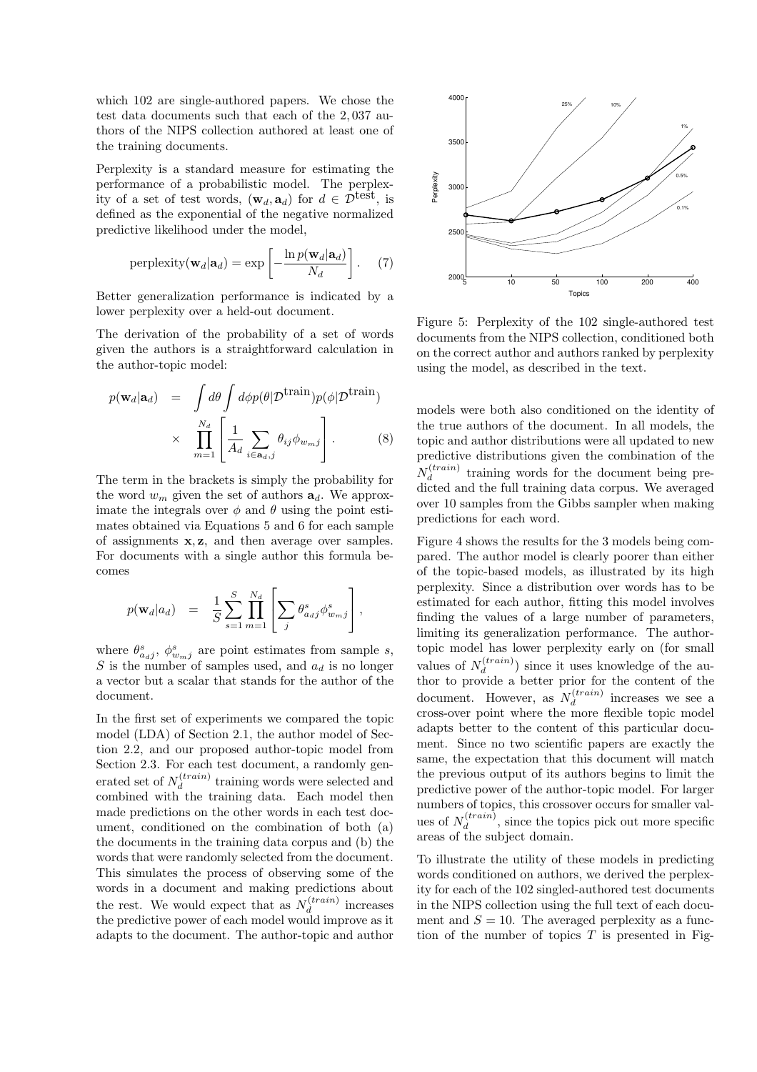which 102 are single-authored papers. We chose the test data documents such that each of the 2, 037 authors of the NIPS collection authored at least one of the training documents.

Perplexity is a standard measure for estimating the performance of a probabilistic model. The perplexity of a set of test words,  $(\mathbf{w}_d, \mathbf{a}_d)$  for  $d \in \mathcal{D}^{\text{test}}$ , is defined as the exponential of the negative normalized predictive likelihood under the model,

perplexity
$$
(\mathbf{w}_d|\mathbf{a}_d) = \exp\left[-\frac{\ln p(\mathbf{w}_d|\mathbf{a}_d)}{N_d}\right].
$$
 (7)

Better generalization performance is indicated by a lower perplexity over a held-out document.

The derivation of the probability of a set of words given the authors is a straightforward calculation in the author-topic model:

$$
p(\mathbf{w}_d|\mathbf{a}_d) = \int d\theta \int d\phi p(\theta | \mathcal{D}^{\text{train}}) p(\phi | \mathcal{D}^{\text{train}})
$$

$$
\times \prod_{m=1}^{N_d} \left[ \frac{1}{A_d} \sum_{i \in \mathbf{a}_d, j} \theta_{ij} \phi_{w_m j} \right].
$$
 (8)

The term in the brackets is simply the probability for the word  $w_m$  given the set of authors  $a_d$ . We approximate the integrals over  $\phi$  and  $\theta$  using the point estimates obtained via Equations 5 and 6 for each sample of assignments x, z, and then average over samples. For documents with a single author this formula becomes

$$
p(\mathbf{w}_d|a_d) = \frac{1}{S} \sum_{s=1}^S \prod_{m=1}^{N_d} \left[ \sum_j \theta_{a_d j}^s \phi_{w_m j}^s \right],
$$

where  $\theta_{a_{dj}}^s$ ,  $\phi_{w_{mj}}^s$  are point estimates from sample s, S is the number of samples used, and  $a_d$  is no longer a vector but a scalar that stands for the author of the document.

In the first set of experiments we compared the topic model (LDA) of Section 2.1, the author model of Section 2.2, and our proposed author-topic model from Section 2.3. For each test document, a randomly generated set of  $N_d^{(train)}$  training words were selected and combined with the training data. Each model then made predictions on the other words in each test document, conditioned on the combination of both (a) the documents in the training data corpus and (b) the words that were randomly selected from the document. This simulates the process of observing some of the words in a document and making predictions about the rest. We would expect that as  $N_d^{(train)}$  increases the predictive power of each model would improve as it adapts to the document. The author-topic and author



Figure 5: Perplexity of the 102 single-authored test documents from the NIPS collection, conditioned both on the correct author and authors ranked by perplexity using the model, as described in the text.

models were both also conditioned on the identity of the true authors of the document. In all models, the topic and author distributions were all updated to new predictive distributions given the combination of the  $N_d^{(train)}$  training words for the document being predicted and the full training data corpus. We averaged over 10 samples from the Gibbs sampler when making predictions for each word.

Figure 4 shows the results for the 3 models being compared. The author model is clearly poorer than either of the topic-based models, as illustrated by its high perplexity. Since a distribution over words has to be estimated for each author, fitting this model involves finding the values of a large number of parameters, limiting its generalization performance. The authortopic model has lower perplexity early on (for small values of  $N_d^{(train)}$ ) since it uses knowledge of the author to provide a better prior for the content of the document. However, as  $N_d^{(train)}$  increases we see a cross-over point where the more flexible topic model adapts better to the content of this particular document. Since no two scientific papers are exactly the same, the expectation that this document will match the previous output of its authors begins to limit the predictive power of the author-topic model. For larger numbers of topics, this crossover occurs for smaller values of  $N_d^{(train)}$ , since the topics pick out more specific areas of the subject domain.

To illustrate the utility of these models in predicting words conditioned on authors, we derived the perplexity for each of the 102 singled-authored test documents in the NIPS collection using the full text of each document and  $S = 10$ . The averaged perplexity as a function of the number of topics  $T$  is presented in Fig-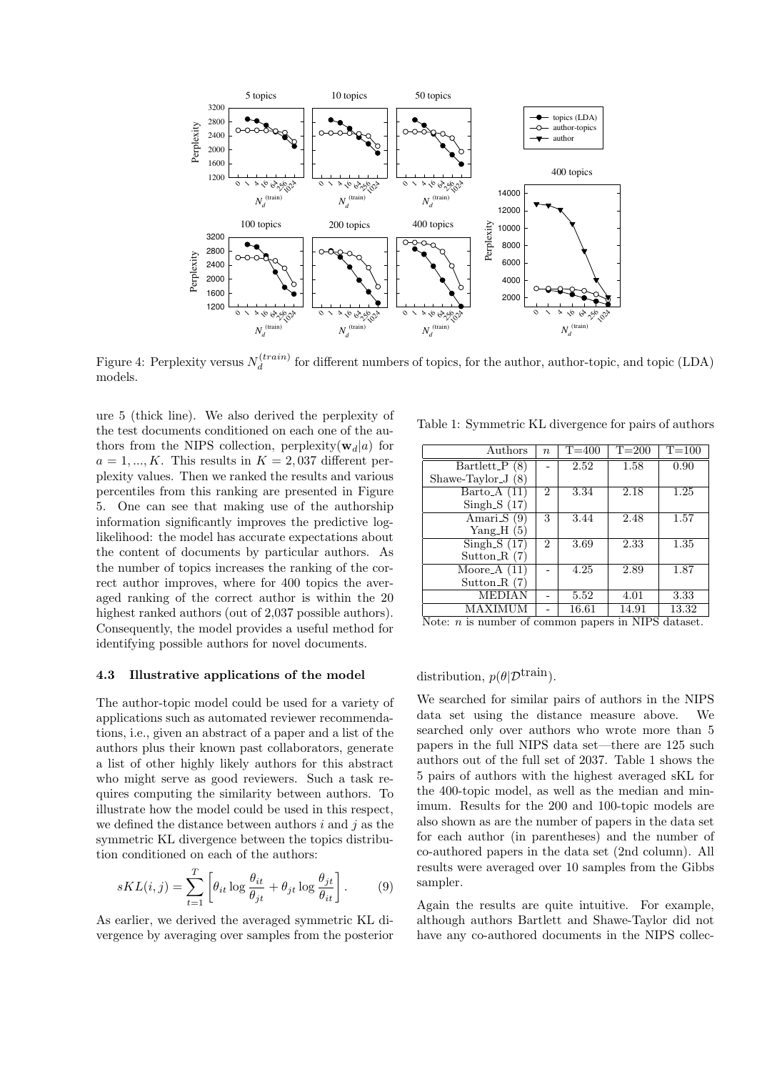

Figure 4: Perplexity versus  $N_d^{(train)}$  for different numbers of topics, for the author, author-topic, and topic (LDA) models.

ure 5 (thick line). We also derived the perplexity of the test documents conditioned on each one of the authors from the NIPS collection, perplexity( $\mathbf{w}_d|a$ ) for  $a = 1, ..., K$ . This results in  $K = 2,037$  different perplexity values. Then we ranked the results and various percentiles from this ranking are presented in Figure 5. One can see that making use of the authorship information significantly improves the predictive loglikelihood: the model has accurate expectations about the content of documents by particular authors. As the number of topics increases the ranking of the correct author improves, where for 400 topics the averaged ranking of the correct author is within the 20 highest ranked authors (out of 2,037 possible authors). Consequently, the model provides a useful method for identifying possible authors for novel documents.

# 4.3 Illustrative applications of the model

The author-topic model could be used for a variety of applications such as automated reviewer recommendations, i.e., given an abstract of a paper and a list of the authors plus their known past collaborators, generate a list of other highly likely authors for this abstract who might serve as good reviewers. Such a task requires computing the similarity between authors. To illustrate how the model could be used in this respect, we defined the distance between authors  $i$  and  $j$  as the symmetric KL divergence between the topics distribution conditioned on each of the authors:

$$
sKL(i,j) = \sum_{t=1}^{T} \left[ \theta_{it} \log \frac{\theta_{it}}{\theta_{jt}} + \theta_{jt} \log \frac{\theta_{jt}}{\theta_{it}} \right].
$$
 (9)

As earlier, we derived the averaged symmetric KL divergence by averaging over samples from the posterior

Table 1: Symmetric KL divergence for pairs of authors

| Authors             | $\, n$ | $T = 400$ | $T = 200$ | $T = 100$ |
|---------------------|--------|-----------|-----------|-----------|
| Bartlett_P (8)      |        | 2.52      | 1.58      | 0.90      |
| Shawe-Taylor $J(8)$ |        |           |           |           |
| Barto A (11)        | 2      | 3.34      | 2.18      | 1.25      |
| Singh $S(17)$       |        |           |           |           |
| Amari $S(9)$        | 3      | 3.44      | 2.48      | 1.57      |
| Yang $H(5)$         |        |           |           |           |
| Singh $S(17)$       | 2      | 3.69      | 2.33      | 1.35      |
| Sutton $R(7)$       |        |           |           |           |
| Moore_ $A(11)$      |        | 4.25      | 2.89      | 1.87      |
| Sutton $R(7)$       |        |           |           |           |
| MEDIAN              |        | 5.52      | 4.01      | 3.33      |
| XIMUM               |        | 16.61     | 14.91     | 13.32     |

Note: n is number of common papers in NIPS dataset.

# distribution,  $p(\theta | \mathcal{D}^{\text{train}})$ .

We searched for similar pairs of authors in the NIPS data set using the distance measure above. We searched only over authors who wrote more than 5 papers in the full NIPS data set—there are 125 such authors out of the full set of 2037. Table 1 shows the 5 pairs of authors with the highest averaged sKL for the 400-topic model, as well as the median and minimum. Results for the 200 and 100-topic models are also shown as are the number of papers in the data set for each author (in parentheses) and the number of co-authored papers in the data set (2nd column). All results were averaged over 10 samples from the Gibbs sampler.

Again the results are quite intuitive. For example, although authors Bartlett and Shawe-Taylor did not have any co-authored documents in the NIPS collec-